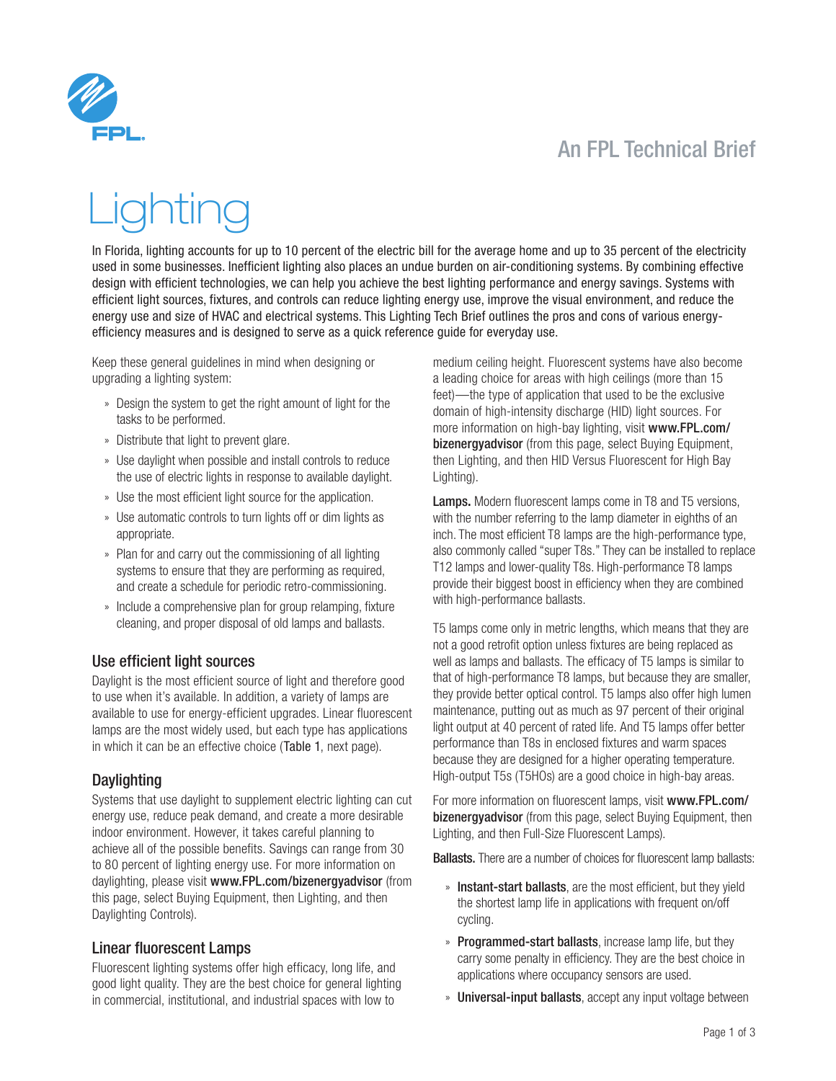

# An FPL Technical Brief

# htinc

In Florida, lighting accounts for up to 10 percent of the electric bill for the average home and up to 35 percent of the electricity used in some businesses. Inefficient lighting also places an undue burden on air-conditioning systems. By combining effective design with efficient technologies, we can help you achieve the best lighting performance and energy savings. Systems with efficient light sources, fixtures, and controls can reduce lighting energy use, improve the visual environment, and reduce the energy use and size of HVAC and electrical systems. This Lighting Tech Brief outlines the pros and cons of various energyefficiency measures and is designed to serve as a quick reference guide for everyday use.

Keep these general guidelines in mind when designing or upgrading a lighting system:

- » Design the system to get the right amount of light for the tasks to be performed.
- » Distribute that light to prevent glare.
- » Use daylight when possible and install controls to reduce the use of electric lights in response to available daylight.
- » Use the most efficient light source for the application.
- » Use automatic controls to turn lights off or dim lights as appropriate.
- » Plan for and carry out the commissioning of all lighting systems to ensure that they are performing as required, and create a schedule for periodic retro-commissioning.
- » Include a comprehensive plan for group relamping, fixture cleaning, and proper disposal of old lamps and ballasts.

#### Use efficient light sources

Daylight is the most efficient source of light and therefore good to use when it's available. In addition, a variety of lamps are available to use for energy-efficient upgrades. Linear fluorescent lamps are the most widely used, but each type has applications in which it can be an effective choice (Table 1, next page).

#### **Daylighting**

Systems that use daylight to supplement electric lighting can cut energy use, reduce peak demand, and create a more desirable indoor environment. However, it takes careful planning to achieve all of the possible benefits. Savings can range from 30 to 80 percent of lighting energy use. For more information on daylighting, please visit <www.FPL.com/bizenergyadvisor> (from this page, select Buying Equipment, then Lighting, and then Daylighting Controls).

#### Linear fluorescent Lamps

Fluorescent lighting systems offer high efficacy, long life, and good light quality. They are the best choice for general lighting in commercial, institutional, and industrial spaces with low to

medium ceiling height. Fluorescent systems have also become a leading choice for areas with high ceilings (more than 15 feet)—the type of application that used to be the exclusive domain of high-intensity discharge (HID) light sources. For more information on high-bay lighting, visit [www.FPL.com/](www.FPL.com/bizenergyadvisor) [bizenergyadvisor](www.FPL.com/bizenergyadvisor) (from this page, select Buying Equipment, then Lighting, and then HID Versus Fluorescent for High Bay Lighting).

Lamps. Modern fluorescent lamps come in T8 and T5 versions, with the number referring to the lamp diameter in eighths of an inch. The most efficient T8 lamps are the high-performance type, also commonly called "super T8s." They can be installed to replace T12 lamps and lower-quality T8s. High-performance T8 lamps provide their biggest boost in efficiency when they are combined with high-performance ballasts.

T5 lamps come only in metric lengths, which means that they are not a good retrofit option unless fixtures are being replaced as well as lamps and ballasts. The efficacy of T5 lamps is similar to that of high-performance T8 lamps, but because they are smaller, they provide better optical control. T5 lamps also offer high lumen maintenance, putting out as much as 97 percent of their original light output at 40 percent of rated life. And T5 lamps offer better performance than T8s in enclosed fixtures and warm spaces because they are designed for a higher operating temperature. High-output T5s (T5HOs) are a good choice in high-bay areas.

For more information on fluorescent lamps, visit [www.FPL.com/](www.FPL.com/bizenergyadvisor) [bizenergyadvisor](www.FPL.com/bizenergyadvisor) (from this page, select Buying Equipment, then Lighting, and then Full-Size Fluorescent Lamps).

**Ballasts.** There are a number of choices for fluorescent lamp ballasts:

- » Instant-start ballasts, are the most efficient, but they yield the shortest lamp life in applications with frequent on/off cycling.
- » Programmed-start ballasts, increase lamp life, but they carry some penalty in efficiency. They are the best choice in applications where occupancy sensors are used.
- » Universal-input ballasts, accept any input voltage between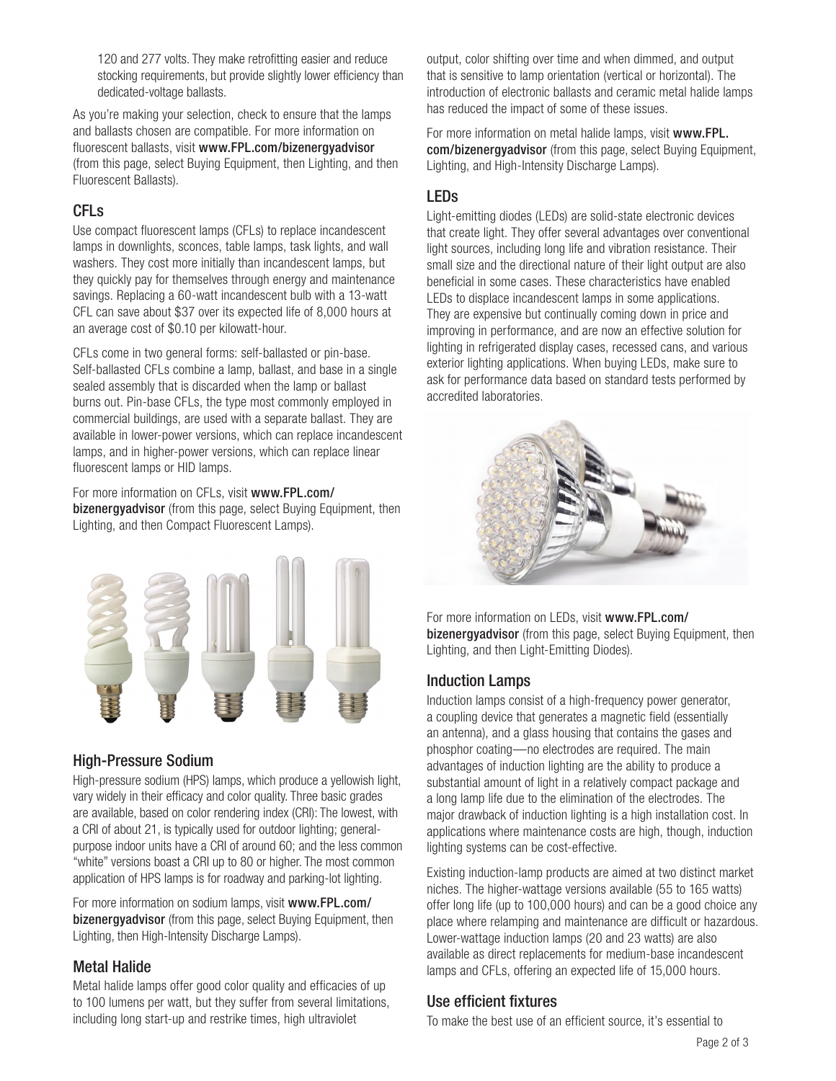120 and 277 volts. They make retrofitting easier and reduce stocking requirements, but provide slightly lower efficiency than dedicated-voltage ballasts.

As you're making your selection, check to ensure that the lamps and ballasts chosen are compatible. For more information on fluorescent ballasts, visit <www.FPL.com/bizenergyadvisor> (from this page, select Buying Equipment, then Lighting, and then Fluorescent Ballasts).

# CFLs

Use compact fluorescent lamps (CFLs) to replace incandescent lamps in downlights, sconces, table lamps, task lights, and wall washers. They cost more initially than incandescent lamps, but they quickly pay for themselves through energy and maintenance savings. Replacing a 60-watt incandescent bulb with a 13-watt CFL can save about \$37 over its expected life of 8,000 hours at an average cost of \$0.10 per kilowatt-hour.

CFLs come in two general forms: self-ballasted or pin-base. Self-ballasted CFLs combine a lamp, ballast, and base in a single sealed assembly that is discarded when the lamp or ballast burns out. Pin-base CFLs, the type most commonly employed in commercial buildings, are used with a separate ballast. They are available in lower-power versions, which can replace incandescent lamps, and in higher-power versions, which can replace linear fluorescent lamps or HID lamps.

For more information on CFLs, visit [www.FPL.com/](www.FPL.com/bizenergyadvisor) [bizenergyadvisor](www.FPL.com/bizenergyadvisor) (from this page, select Buying Equipment, then Lighting, and then Compact Fluorescent Lamps).



# High-Pressure Sodium

High-pressure sodium (HPS) lamps, which produce a yellowish light, vary widely in their efficacy and color quality. Three basic grades are available, based on color rendering index (CRI): The lowest, with a CRI of about 21, is typically used for outdoor lighting; generalpurpose indoor units have a CRI of around 60; and the less common "white" versions boast a CRI up to 80 or higher. The most common application of HPS lamps is for roadway and parking-lot lighting.

For more information on sodium lamps, visit [www.FPL.com/](www.FPL.com/bizenergyadvisor) [bizenergyadvisor](www.FPL.com/bizenergyadvisor) (from this page, select Buying Equipment, then Lighting, then High-Intensity Discharge Lamps).

# Metal Halide

Metal halide lamps offer good color quality and efficacies of up to 100 lumens per watt, but they suffer from several limitations, including long start-up and restrike times, high ultraviolet

output, color shifting over time and when dimmed, and output that is sensitive to lamp orientation (vertical or horizontal). The introduction of electronic ballasts and ceramic metal halide lamps has reduced the impact of some of these issues.

For more information on metal halide lamps, visit [www.FPL.](www.FPL.com/bizenergyadvisor) [com/bizenergyadvisor](www.FPL.com/bizenergyadvisor) (from this page, select Buying Equipment, Lighting, and High-Intensity Discharge Lamps).

# LEDs

Light-emitting diodes (LEDs) are solid-state electronic devices that create light. They offer several advantages over conventional light sources, including long life and vibration resistance. Their small size and the directional nature of their light output are also beneficial in some cases. These characteristics have enabled LEDs to displace incandescent lamps in some applications. They are expensive but continually coming down in price and improving in performance, and are now an effective solution for lighting in refrigerated display cases, recessed cans, and various exterior lighting applications. When buying LEDs, make sure to ask for performance data based on standard tests performed by accredited laboratories.



For more information on LEDs, visit [www.FPL.com/](www.FPL.com/bizenergyadvisor) [bizenergyadvisor](www.FPL.com/bizenergyadvisor) (from this page, select Buying Equipment, then Lighting, and then Light-Emitting Diodes).

# Induction Lamps

Induction lamps consist of a high-frequency power generator, a coupling device that generates a magnetic field (essentially an antenna), and a glass housing that contains the gases and phosphor coating—no electrodes are required. The main advantages of induction lighting are the ability to produce a substantial amount of light in a relatively compact package and a long lamp life due to the elimination of the electrodes. The major drawback of induction lighting is a high installation cost. In applications where maintenance costs are high, though, induction lighting systems can be cost-effective.

Existing induction-lamp products are aimed at two distinct market niches. The higher-wattage versions available (55 to 165 watts) offer long life (up to 100,000 hours) and can be a good choice any place where relamping and maintenance are difficult or hazardous. Lower-wattage induction lamps (20 and 23 watts) are also available as direct replacements for medium-base incandescent lamps and CFLs, offering an expected life of 15,000 hours.

# Use efficient fixtures

To make the best use of an efficient source, it's essential to